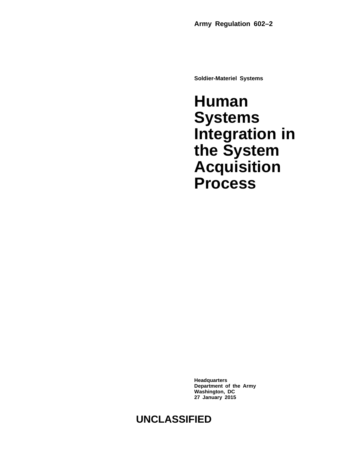**Soldier-Materiel Systems**

**Human Systems Integration in the System Acquisition Process**

**Headquarters Department of the Army Washington, DC 27 January 2015**

# **UNCLASSIFIED**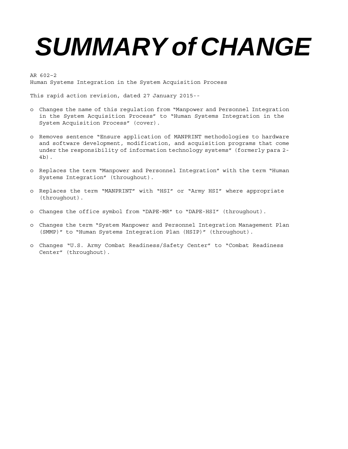# *SUMMARY of CHANGE*

AR 602–2 Human Systems Integration in the System Acquisition Process

This rapid action revision, dated 27 January 2015--

- o Changes the name of this regulation from "Manpower and Personnel Integration in the System Acquisition Process" to "Human Systems Integration in the System Acquisition Process" (cover).
- o Removes sentence "Ensure application of MANPRINT methodologies to hardware and software development, modification, and acquisition programs that come under the responsibility of information technology systems" (formerly para 2- 4b).
- o Replaces the term "Manpower and Personnel Integration" with the term "Human Systems Integration" (throughout).
- o Replaces the term "MANPRINT" with "HSI" or "Army HSI" where appropriate (throughout).
- o Changes the office symbol from "DAPE-MR" to "DAPE-HSI" (throughout).
- o Changes the term "System Manpower and Personnel Integration Management Plan (SMMP)" to "Human Systems Integration Plan (HSIP)" (throughout).
- o Changes "U.S. Army Combat Readiness/Safety Center" to "Combat Readiness Center" (throughout).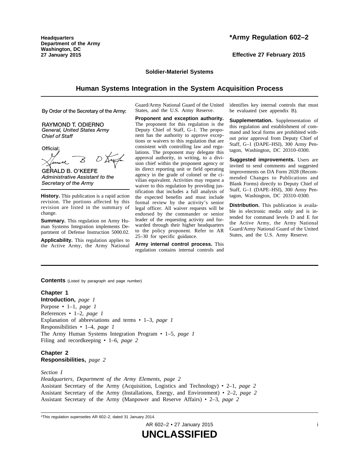**Headquarters Department of the Army Washington, DC 27 January 2015**

**Effective 27 February 2015**

# **Soldier-Materiel Systems**

# **Human Systems Integration in the System Acquisition Process**

By Order of the Secretary of the Army:

**RAYMOND T. ODIERNO** General, United States Army **Chief of Staff** 

Official:

**GERALD B. O'KEEFE** Administrative Assistant to the Secretary of the Army

**History.** This publication is a rapid action revision. The portions affected by this revision are listed in the summary of change.

**Summary.** This regulation on Army Human Systems Integration implements Department of Defense Instruction 5000.02.

**Applicability.** This regulation applies to the Active Army, the Army National Guard/Army National Guard of the United States, and the U.S. Army Reserve.

**Proponent and exception authority.** The proponent for this regulation is the Deputy Chief of Staff, G–1. The proponent has the authority to approve exceptions or waivers to this regulation that are consistent with controlling law and regulations. The proponent may delegate this approval authority, in writing, to a division chief within the proponent agency or its direct reporting unit or field operating agency in the grade of colonel or the civilian equivalent. Activities may request a waiver to this regulation by providing justification that includes a full analysis of the expected benefits and must include formal review by the activity's senior legal officer. All waiver requests will be endorsed by the commander or senior leader of the requesting activity and forwarded through their higher headquarters to the policy proponent. Refer to AR 25–30 for specific guidance.

**Army internal control process.** This regulation contains internal controls and identifies key internal controls that must be evaluated (see appendix B).

**Supplementation.** Supplementation of this regulation and establishment of command and local forms are prohibited without prior approval from Deputy Chief of Staff, G–1 (DAPE–HSI), 300 Army Pentagon, Washington, DC 20310–0300.

**Suggested improvements.** Users are invited to send comments and suggested improvements on DA Form 2028 (Recommended Changes to Publications and Blank Forms) directly to Deputy Chief of Staff, G–1 (DAPE–HSI), 300 Army Pentagon, Washington, DC 20310–0300.

**Distribution.** This publication is available in electronic media only and is intended for command levels D and E for the Active Army, the Army National Guard/Army National Guard of the United States, and the U.S. Army Reserve.

**Contents** (Listed by paragraph and page number)

# **Chapter 1**

**Introduction,** *page 1* Purpose • 1–1, *page 1* References • 1–2, *page 1* Explanation of abbreviations and terms • 1–3, *page 1* Responsibilities • 1–4, *page 1* The Army Human Systems Integration Program • 1–5, *page 1* Filing and recordkeeping • 1–6, *page 2*

# **Chapter 2 Responsibilities,** *page 2*

*Section I*

*Headquarters, Department of the Army Elements, page 2* Assistant Secretary of the Army (Acquisition, Logistics and Technology) • 2–1, *page 2* Assistant Secretary of the Army (Installations, Energy, and Environment) • 2–2, *page 2* Assistant Secretary of the Army (Manpower and Reserve Affairs) • 2–3, *page 2*

\*This regulation supersedes AR 602–2, dated 31 January 2014.

AR 602–2 • 27 January 2015 i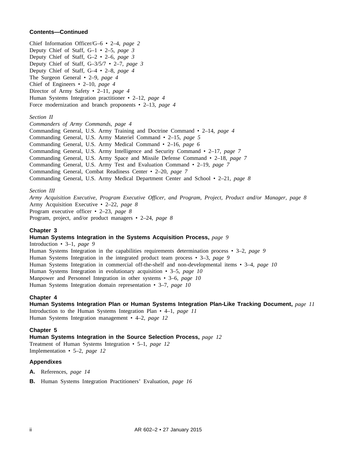# **Contents—Continued**

Chief Information Officer/G–6 • 2–4, *page 2* Deputy Chief of Staff, G–1 • 2–5, *page 3* Deputy Chief of Staff, G–2 • 2–6, *page 3* Deputy Chief of Staff, G–3/5/7 • 2–7, *page 3* Deputy Chief of Staff, G–4 • 2–8, *page 4* The Surgeon General • 2–9, *page 4* Chief of Engineers • 2–10, *page 4* Director of Army Safety • 2–11, *page 4* Human Systems Integration practitioner • 2–12, *page 4* Force modernization and branch proponents • 2–13, *page 4*

#### *Section II*

*Commanders of Army Commands, page 4*

Commanding General, U.S. Army Training and Doctrine Command • 2–14, *page 4*

Commanding General, U.S. Army Materiel Command • 2–15, *page 5*

Commanding General, U.S. Army Medical Command • 2–16, *page 6*

Commanding General, U.S. Army Intelligence and Security Command • 2–17, *page 7*

Commanding General, U.S. Army Space and Missile Defense Command • 2–18, *page 7*

Commanding General, U.S. Army Test and Evaluation Command • 2–19, *page 7*

Commanding General, Combat Readiness Center • 2–20, *page 7*

Commanding General, U.S. Army Medical Department Center and School • 2–21, *page 8*

#### *Section III*

*Army Acquisition Executive, Program Executive Officer, and Program, Project, Product and/or Manager, page 8* Army Acquisition Executive • 2–22, *page 8* Program executive officer • 2–23, *page 8* Program, project, and/or product managers • 2–24, *page 8*

#### **Chapter 3**

# **Human Systems Integration in the Systems Acquisition Process,** *page 9*

Introduction • 3–1, *page 9* Human Systems Integration in the capabilities requirements determination process • 3–2, *page 9* Human Systems Integration in the integrated product team process • 3–3, *page 9* Human Systems Integration in commercial off-the-shelf and non-developmental items • 3–4, *page 10* Human Systems Integration in evolutionary acquisition • 3–5, *page 10* Manpower and Personnel Integration in other systems • 3–6, *page 10* Human Systems Integration domain representation • 3–7, *page 10*

#### **Chapter 4**

# **Human Systems Integration Plan or Human Systems Integration Plan-Like Tracking Document,** *page 11*

Introduction to the Human Systems Integration Plan • 4–1, *page 11* Human Systems Integration management • 4–2, *page 12*

## **Chapter 5**

**Human Systems Integration in the Source Selection Process,** *page 12* Treatment of Human Systems Integration • 5–1, *page 12* Implementation • 5–2, *page 12*

#### **Appendixes**

- **A.** References, *page 14*
- **B.** Human Systems Integration Practitioners' Evaluation, *page 16*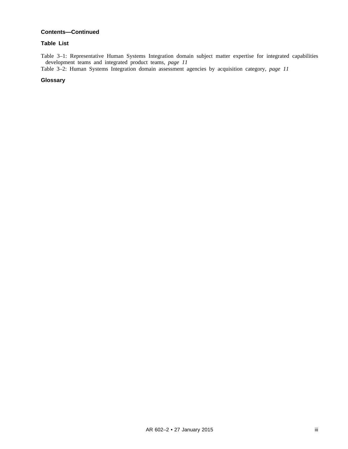# **Contents—Continued**

# **Table List**

Table 3–1: Representative Human Systems Integration domain subject matter expertise for integrated capabilities development teams and integrated product teams, *page 11*

Table 3–2: Human Systems Integration domain assessment agencies by acquisition category, *page 11*

# **Glossary**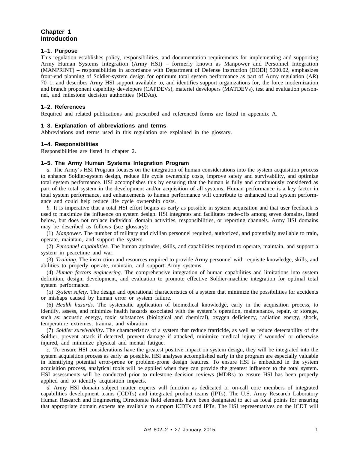# **Chapter 1 Introduction**

# **1–1. Purpose**

This regulation establishes policy, responsibilities, and documentation requirements for implementing and supporting Army Human Systems Integration (Army HSI) – formerly known as Manpower and Personnel Integration (MANPRINT) – responsibilities in accordance with Department of Defense instruction (DODI) 5000.02, emphasizes front-end planning of Soldier-system design for optimum total system performance as part of Army regulation (AR) 70–1; and describes Army HSI support available to, and identifies support organizations for, the force modernization and branch proponent capability developers (CAPDEVs), materiel developers (MATDEVs), test and evaluation personnel, and milestone decision authorities (MDAs).

# **1–2. References**

Required and related publications and prescribed and referenced forms are listed in appendix A.

# **1–3. Explanation of abbreviations and terms**

Abbreviations and terms used in this regulation are explained in the glossary.

# **1–4. Responsibilities**

Responsibilities are listed in chapter 2.

# **1–5. The Army Human Systems Integration Program**

*a.* The Army's HSI Program focuses on the integration of human considerations into the system acquisition process to enhance Soldier-system design, reduce life cycle ownership costs, improve safety and survivability, and optimize total system performance. HSI accomplishes this by ensuring that the human is fully and continuously considered as part of the total system in the development and/or acquisition of all systems. Human performance is a key factor in total system performance, and enhancements to human performance will contribute to enhanced total system performance and could help reduce life cycle ownership costs.

*b.* It is imperative that a total HSI effort begins as early as possible in system acquisition and that user feedback is used to maximize the influence on system design. HSI integrates and facilitates trade-offs among seven domains, listed below, but does not replace individual domain activities, responsibilities, or reporting channels. Army HSI domains may be described as follows (see glossary):

(1) *Manpower*. The number of military and civilian personnel required, authorized, and potentially available to train, operate, maintain, and support the system.

(2) *Personnel capabilities*. The human aptitudes, skills, and capabilities required to operate, maintain, and support a system in peacetime and war.

(3) *Training*. The instruction and resources required to provide Army personnel with requisite knowledge, skills, and abilities to properly operate, maintain, and support Army systems.

(4) *Human factors engineering*. The comprehensive integration of human capabilities and limitations into system definition, design, development, and evaluation to promote effective Soldier-machine integration for optimal total system performance.

(5) *System safety*. The design and operational characteristics of a system that minimize the possibilities for accidents or mishaps caused by human error or system failure.

(6) *Health hazards*. The systematic application of biomedical knowledge, early in the acquisition process, to identify, assess, and minimize health hazards associated with the system's operation, maintenance, repair, or storage, such as: acoustic energy, toxic substances (biological and chemical), oxygen deficiency, radiation energy, shock, temperature extremes, trauma, and vibration.

(7) *Soldier survivability*. The characteristics of a system that reduce fratricide, as well as reduce detectability of the Soldier, prevent attack if detected, prevent damage if attacked, minimize medical injury if wounded or otherwise injured, and minimize physical and mental fatigue.

*c.* To ensure HSI considerations have the greatest positive impact on system design, they will be integrated into the system acquisition process as early as possible. HSI analyses accomplished early in the program are especially valuable in identifying potential error-prone or problem-prone design features. To ensure HSI is embedded in the system acquisition process, analytical tools will be applied when they can provide the greatest influence to the total system. HSI assessments will be conducted prior to milestone decision reviews (MDRs) to ensure HSI has been properly applied and to identify acquisition impacts.

*d.* Army HSI domain subject matter experts will function as dedicated or on-call core members of integrated capabilities development teams (ICDTs) and integrated product teams (IPTs). The U.S. Army Research Laboratory Human Research and Engineering Directorate field elements have been designated to act as focal points for ensuring that appropriate domain experts are available to support ICDTs and IPTs. The HSI representatives on the ICDT will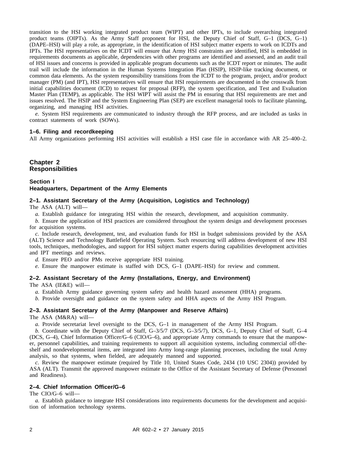transition to the HSI working integrated product team (WIPT) and other IPTs, to include overarching integrated product teams (OIPTs). As the Army Staff proponent for HSI, the Deputy Chief of Staff,  $G-1$  (DCS,  $G-1$ ) (DAPE–HSI) will play a role, as appropriate, in the identification of HSI subject matter experts to work on ICDTs and IPTs. The HSI representatives on the ICDT will ensure that Army HSI constraints are identified, HSI is embedded in requirements documents as applicable, dependencies with other programs are identified and assessed, and an audit trail of HSI issues and concerns is provided in applicable program documents such as the ICDT report or minutes. The audit trail will include the information in the Human Systems Integration Plan (HSIP), HSIP-like tracking document, or common data elements. As the system responsibility transitions from the ICDT to the program, project, and/or product manager (PM) (and IPT), HSI representatives will ensure that HSI requirements are documented in the crosswalk from initial capabilities document (ICD) to request for proposal (RFP), the system specification, and Test and Evaluation Master Plan (TEMP), as applicable. The HSI WIPT will assist the PM in ensuring that HSI requirements are met and issues resolved. The HSIP and the System Engineering Plan (SEP) are excellent managerial tools to facilitate planning, organizing, and managing HSI activities.

*e.* System HSI requirements are communicated to industry through the RFP process, and are included as tasks in contract statements of work (SOWs).

# **1–6. Filing and recordkeeping**

All Army organizations performing HSI activities will establish a HSI case file in accordance with AR 25–400–2.

# **Chapter 2 Responsibilities**

# **Section I Headquarters, Department of the Army Elements**

#### **2–1. Assistant Secretary of the Army (Acquisition, Logistics and Technology)**

The ASA (ALT) will—

*a.* Establish guidance for integrating HSI within the research, development, and acquisition community.

*b.* Ensure the application of HSI practices are considered throughout the system design and development processes for acquisition systems.

*c.* Include research, development, test, and evaluation funds for HSI in budget submissions provided by the ASA (ALT) Science and Technology Battlefield Operating System. Such resourcing will address development of new HSI tools, techniques, methodologies, and support for HSI subject matter experts during capabilities development activities and IPT meetings and reviews.

*d.* Ensure PEO and/or PMs receive appropriate HSI training.

*e.* Ensure the manpower estimate is staffed with DCS, G–1 (DAPE–HSI) for review and comment.

# **2–2. Assistant Secretary of the Army (Installations, Energy, and Environment)**

The ASA (IE&E) will—

*a.* Establish Army guidance governing system safety and health hazard assessment (HHA) programs.

*b.* Provide oversight and guidance on the system safety and HHA aspects of the Army HSI Program.

# **2–3. Assistant Secretary of the Army (Manpower and Reserve Affairs)**

The ASA (M&RA) will—

*a.* Provide secretariat level oversight to the DCS, G–1 in management of the Army HSI Program.

*b.* Coordinate with the Deputy Chief of Staff, G–3/5/7 (DCS, G–3/5/7), DCS, G–1, Deputy Chief of Staff, G–4 (DCS, G–4), Chief Information Officer/G–6 (CIO/G–6), and appropriate Army commands to ensure that the manpower, personnel capabilities, and training requirements to support all acquisition systems, including commercial off-theshelf and nondevelopmental items, are integrated into Army long-range planning processes, including the total Army analysis, so that systems, when fielded, are adequately manned and supported.

*c.* Review the manpower estimate (required by Title 10, United States Code, 2434 (10 USC 2304)) provided by ASA (ALT). Transmit the approved manpower estimate to the Office of the Assistant Secretary of Defense (Personnel and Readiness).

# **2–4. Chief Information Officer/G–6**

The CIO/G–6 will—

*a.* Establish guidance to integrate HSI considerations into requirements documents for the development and acquisition of information technology systems.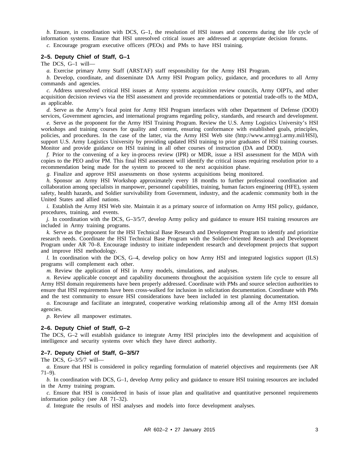*b.* Ensure, in coordination with DCS, G–1, the resolution of HSI issues and concerns during the life cycle of information systems. Ensure that HSI unresolved critical issues are addressed at appropriate decision forums.

*c.* Encourage program executive officers (PEOs) and PMs to have HSI training.

#### **2–5. Deputy Chief of Staff, G–1**

#### The DCS, G–1 will—

*a.* Exercise primary Army Staff (ARSTAF) staff responsibility for the Army HSI Program.

*b.* Develop, coordinate, and disseminate DA Army HSI Program policy, guidance, and procedures to all Army commands and agencies.

*c.* Address unresolved critical HSI issues at Army systems acquisition review councils, Army OIPTs, and other acquisition decision reviews via the HSI assessment and provide recommendations or potential trade-offs to the MDA, as applicable.

*d.* Serve as the Army's focal point for Army HSI Program interfaces with other Department of Defense (DOD) services, Government agencies, and international programs regarding policy, standards, and research and development.

*e.* Serve as the proponent for the Army HSI Training Program. Review the U.S. Army Logistics University's HSI workshops and training courses for quality and content, ensuring conformance with established goals, principles, policies, and procedures. In the case of the latter, via the Army HSI Web site (http://www.armyg1.army.mil/HSI), support U.S. Army Logistics University by providing updated HSI training to prior graduates of HSI training courses. Monitor and provide guidance on HSI training in all other courses of instruction (DA and DOD).

*f.* Prior to the convening of a key in-process review (IPR) or MDR, issue a HSI assessment for the MDA with copies to the PEO and/or PM. This final HSI assessment will identify the critical issues requiring resolution prior to a recommendation being made for the system to proceed to the next acquisition phase.

*g.* Finalize and approve HSI assessments on those systems acquisitions being monitored.

*h.* Sponsor an Army HSI Workshop approximately every 18 months to further professional coordination and collaboration among specialists in manpower, personnel capabilities, training, human factors engineering (HFE), system safety, health hazards, and Soldier survivability from Government, industry, and the academic community both in the United States and allied nations.

*i.* Establish the Army HSI Web site. Maintain it as a primary source of information on Army HSI policy, guidance, procedures, training, and events.

*j.* In coordination with the DCS, G–3/5/7, develop Army policy and guidance to ensure HSI training resources are included in Army training programs.

*k.* Serve as the proponent for the HSI Technical Base Research and Development Program to identify and prioritize research needs. Coordinate the HSI Technical Base Program with the Soldier-Oriented Research and Development Program under AR 70–8. Encourage industry to initiate independent research and development projects that support and improve HSI methodology.

*l.* In coordination with the DCS, G-4, develop policy on how Army HSI and integrated logistics support (ILS) programs will complement each other.

*m.* Review the application of HSI in Army models, simulations, and analyses.

*n.* Review applicable concept and capability documents throughout the acquisition system life cycle to ensure all Army HSI domain requirements have been properly addressed. Coordinate with PMs and source selection authorities to ensure that HSI requirements have been cross-walked for inclusion in solicitation documentation. Coordinate with PMs and the test community to ensure HSI considerations have been included in test planning documentation.

*o.* Encourage and facilitate an integrated, cooperative working relationship among all of the Army HSI domain agencies.

*p.* Review all manpower estimates.

#### **2–6. Deputy Chief of Staff, G–2**

The DCS, G–2 will establish guidance to integrate Army HSI principles into the development and acquisition of intelligence and security systems over which they have direct authority.

#### **2–7. Deputy Chief of Staff, G–3/5/7**

The DCS, G–3/5/7 will—

*a.* Ensure that HSI is considered in policy regarding formulation of materiel objectives and requirements (see AR  $71-9$ ).

*b.* In coordination with DCS, G–1, develop Army policy and guidance to ensure HSI training resources are included in the Army training program.

*c.* Ensure that HSI is considered in basis of issue plan and qualitative and quantitative personnel requirements information policy (see AR 71–32).

*d.* Integrate the results of HSI analyses and models into force development analyses.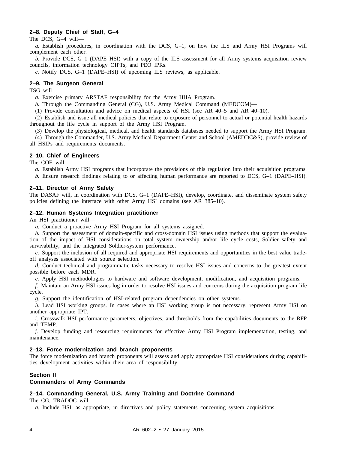# **2–8. Deputy Chief of Staff, G–4**

The DCS, G–4 will—

*a.* Establish procedures, in coordination with the DCS, G–1, on how the ILS and Army HSI Programs will complement each other.

*b.* Provide DCS, G–1 (DAPE–HSI) with a copy of the ILS assessment for all Army systems acquisition review councils, information technology OIPTs, and PEO IPRs.

*c.* Notify DCS, G–1 (DAPE–HSI) of upcoming ILS reviews, as applicable.

# **2–9. The Surgeon General**

TSG will—

*a.* Exercise primary ARSTAF responsibility for the Army HHA Program.

*b.* Through the Commanding General (CG), U.S. Army Medical Command (MEDCOM)—

(1) Provide consultation and advice on medical aspects of HSI (see AR 40–5 and AR 40–10).

(2) Establish and issue all medical policies that relate to exposure of personnel to actual or potential health hazards throughout the life cycle in support of the Army HSI Program.

(3) Develop the physiological, medical, and health standards databases needed to support the Army HSI Program.

(4) Through the Commander, U.S. Army Medical Department Center and School (AMEDDC&S), provide review of all HSIPs and requirements documents.

# **2–10. Chief of Engineers**

The COE will—

*a.* Establish Army HSI programs that incorporate the provisions of this regulation into their acquisition programs.

*b.* Ensure research findings relating to or affecting human performance are reported to DCS, G–1 (DAPE–HSI).

#### **2–11. Director of Army Safety**

The DASAF will, in coordination with DCS, G–1 (DAPE–HSI), develop, coordinate, and disseminate system safety policies defining the interface with other Army HSI domains (see AR 385–10).

#### **2–12. Human Systems Integration practitioner**

An HSI practitioner will—

*a.* Conduct a proactive Army HSI Program for all systems assigned.

*b.* Support the assessment of domain-specific and cross-domain HSI issues using methods that support the evaluation of the impact of HSI considerations on total system ownership and/or life cycle costs, Soldier safety and survivability, and the integrated Soldier-system performance.

*c.* Support the inclusion of all required and appropriate HSI requirements and opportunities in the best value tradeoff analyses associated with source selection.

*d.* Conduct technical and programmatic tasks necessary to resolve HSI issues and concerns to the greatest extent possible before each MDR.

*e.* Apply HSI methodologies to hardware and software development, modification, and acquisition programs.

*f.* Maintain an Army HSI issues log in order to resolve HSI issues and concerns during the acquisition program life cycle.

*g.* Support the identification of HSI-related program dependencies on other systems.

*h.* Lead HSI working groups. In cases where an HSI working group is not necessary, represent Army HSI on another appropriate IPT.

*i.* Crosswalk HSI performance parameters, objectives, and thresholds from the capabilities documents to the RFP and TEMP.

*j.* Develop funding and resourcing requirements for effective Army HSI Program implementation, testing, and maintenance.

# **2–13. Force modernization and branch proponents**

The force modernization and branch proponents will assess and apply appropriate HSI considerations during capabilities development activities within their area of responsibility.

# **Section II**

#### **Commanders of Army Commands**

## **2–14. Commanding General, U.S. Army Training and Doctrine Command**

The CG, TRADOC will—

*a.* Include HSI, as appropriate, in directives and policy statements concerning system acquisitions.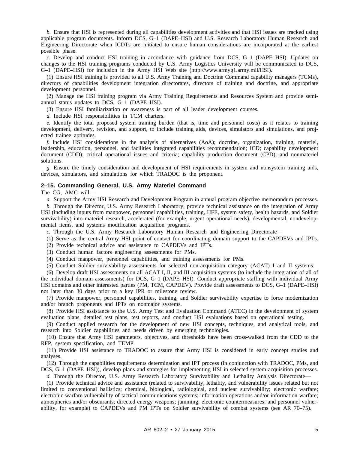*b.* Ensure that HSI is represented during all capabilities development activities and that HSI issues are tracked using applicable program documents. Inform DCS, G–1 (DAPE–HSI) and U.S. Research Laboratory Human Research and Engineering Directorate when ICDTs are initiated to ensure human considerations are incorporated at the earliest possible phase.

*c.* Develop and conduct HSI training in accordance with guidance from DCS, G–1 (DAPE–HSI). Updates on changes to the HSI training programs conducted by U.S. Army Logistics University will be communicated to DCS, G–1 (DAPE–HSI) for inclusion in the Army HSI Web site (http://www.armyg1.army.mil/HSI).

(1) Ensure HSI training is provided to all U.S. Army Training and Doctrine Command capability managers (TCMs), directors of capabilities development integration directorates, directors of training and doctrine, and appropriate development personnel.

(2) Manage the HSI training program via Army Training Requirements and Resources System and provide semiannual status updates to DCS, G–1 (DAPE–HSI).

(3) Ensure HSI familiarization or awareness is part of all leader development courses.

*d.* Include HSI responsibilities in TCM charters.

*e.* Identify the total proposed system training burden (that is, time and personnel costs) as it relates to training development, delivery, revision, and support, to include training aids, devices, simulators and simulations, and projected trainee aptitudes.

*f.* Include HSI considerations in the analysis of alternatives (AoA); doctrine, organization, training, materiel, leadership, education, personnel, and facilities integrated capabilities recommendation; ICD; capability development document (CDD); critical operational issues and criteria; capability production document (CPD); and nonmateriel solutions.

*g.* Ensure the timely consideration and development of HSI requirements in system and nonsystem training aids, devices, simulators, and simulations for which TRADOC is the proponent.

#### **2–15. Commanding General, U.S. Army Materiel Command**

The CG, AMC will—

*a.* Support the Army HSI Research and Development Program in annual program objective memorandum processes.

*b.* Through the Director, U.S. Army Research Laboratory, provide technical assistance on the integration of Army HSI (including inputs from manpower, personnel capabilities, training, HFE, system safety, health hazards, and Soldier survivability) into materiel research, accelerated (for example, urgent operational needs), developmental, nondevelopmental items, and systems modification acquisition programs.

*c.* Through the U.S. Army Research Laboratory Human Research and Engineering Directorate—

- (1) Serve as the central Army HSI point of contact for coordinating domain support to the CAPDEVs and IPTs.
- (2) Provide technical advice and assistance to CAPDEVs and IPTs.
- (3) Conduct human factors engineering assessments for PMs.

(4) Conduct manpower, personnel capabilities, and training assessments for PMs.

(5) Conduct Soldier survivability assessments for selected non-acquisition category (ACAT) I and II systems.

(6) Develop draft HSI assessments on all ACAT I, II, and III acquisition systems (to include the integration of all of the individual domain assessments) for DCS, G–1 (DAPE–HSI). Conduct appropriate staffing with individual Army HSI domains and other interested parties (PM, TCM, CAPDEV). Provide draft assessments to DCS, G–1 (DAPE–HSI) not later than 30 days prior to a key IPR or milestone review.

(7) Provide manpower, personnel capabilities, training, and Soldier survivability expertise to force modernization and/or branch proponents and IPTs on nonmajor systems.

(8) Provide HSI assistance to the U.S. Army Test and Evaluation Command (ATEC) in the development of system evaluation plans, detailed test plans, test reports, and conduct HSI evaluations based on operational testing.

(9) Conduct applied research for the development of new HSI concepts, techniques, and analytical tools, and research into Soldier capabilities and needs driven by emerging technologies.

(10) Ensure that Army HSI parameters, objectives, and thresholds have been cross-walked from the CDD to the RFP, system specification, and TEMP.

(11) Provide HSI assistance to TRADOC to assure that Army HSI is considered in early concept studies and analyses.

(12) Through the capabilities requirements determination and IPT process (in conjunction with TRADOC, PMs, and DCS, G–1 (DAPE–HSI)), develop plans and strategies for implementing HSI in selected system acquisition processes.

*d.* Through the Director, U.S. Army Research Laboratory Survivability and Lethality Analysis Directorate—

(1) Provide technical advice and assistance (related to survivability, lethality, and vulnerability issues related but not limited to conventional ballistics; chemical, biological, radiological, and nuclear survivability; electronic warfare; electronic warfare vulnerability of tactical communications systems; information operations and/or information warfare; atmospherics and/or obscurants; directed energy weapons; jamming; electronic countermeasures; and personnel vulnerability, for example) to CAPDEVs and PM IPTs on Soldier survivability of combat systems (see AR 70–75).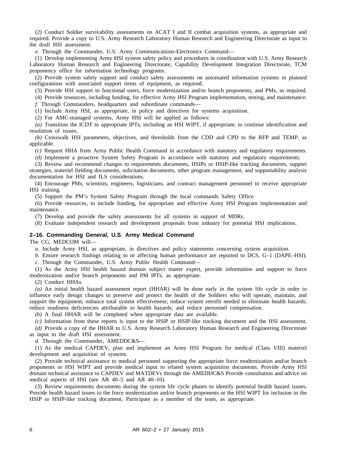(2) Conduct Soldier survivability assessments on ACAT I and II combat acquisition systems, as appropriate and required. Provide a copy to U.S. Army Research Laboratory Human Research and Engineering Directorate as input to the draft HSI assessment.

*e.* Through the Commander, U.S. Army Communications-Electronics Command—

(1) Develop implementing Army HSI system safety policy and procedures in coordination with U.S. Army Research Laboratory Human Research and Engineering Directorate, Capability Development Integration Directorate, TCM proponency office for information technology programs.

(2) Provide system safety support and conduct safety assessments on automated information systems in planned configurations with associated support items of equipment, as required.

(3) Provide HSI support to functional users, force modernization and/or branch proponents, and PMs, as required.

(4) Provide resources, including funding, for effective Army HSI Program implementation, testing, and maintenance.

*f.* Through Commanders, headquarters and subordinate commands—

(1) Include Army HSI, as appropriate, in policy and directives for systems acquisition.

(2) For AMC-managed systems, Army HSI will be applied as follows:

*(a)* Transition the ICDT to appropriate IPTs, including an HSI WIPT, if appropriate, to continue identification and resolution of issues.

*(b)* Crosswalk HSI parameters, objectives, and thresholds from the CDD and CPD to the RFP and TEMP, as applicable.

*(c)* Request HHA from Army Public Health Command in accordance with statutory and regulatory requirements.

*(d)* Implement a proactive System Safety Program in accordance with statutory and regulatory requirements.

(3) Review and recommend changes to requirements documents, HSIPs or HSIP-like tracking documents, support strategies, materiel fielding documents, solicitation documents, other program management, and supportability analysis documentation for HSI and ILS considerations.

(4) Encourage PMs, scientists, engineers, logisticians, and contract management personnel to receive appropriate HSI training.

(5) Support the PM's System Safety Program through the local commands Safety Office.

(6) Provide resources, to include funding, for appropriate and effective Army HSI Program implementation and maintenance.

(7) Develop and provide the safety assessments for all systems in support of MDRs.

(8) Evaluate independent research and development proposals from industry for potential HSI implications.

# **2–16. Commanding General, U.S. Army Medical Command**

The CG, MEDCOM will—

*a.* Include Army HSI, as appropriate, in directives and policy statements concerning system acquisition.

*b.* Ensure research findings relating to or affecting human performance are reported to DCS, G–1 (DAPE–HSI).

*c.* Through the Commander, U.S. Army Public Health Command—

(1) As the Army HSI health hazard domain subject matter expert, provide information and support to force modernization and/or branch proponents and PM IPTs, as appropriate.

(2) Conduct HHAs.

*(a)* An initial health hazard assessment report (HHAR) will be done early in the system life cycle in order to influence early design changes to preserve and protect the health of the Soldiers who will operate, maintain, and support the equipment; enhance total system effectiveness; reduce system retrofit needed to eliminate health hazards; reduce readiness deficiencies attributable to health hazards; and reduce personnel compensation.

*(b)* A final HHAR will be completed when appropriate data are available.

*(c)* Information from these reports is input to the HSIP or HSIP-like tracking document and the HSI assessment.

*(d)* Provide a copy of the HHAR to U.S. Army Research Laboratory Human Research and Engineering Directorate as input to the draft HSI assessment.

*d.* Through the Commander, AMEDDC&S—

(1) As the medical CAPDEV, plan and implement an Army HSI Program for medical (Class VIII) materiel development and acquisition of systems.

(2) Provide technical assistance to medical personnel supporting the appropriate force modernization and/or branch proponents or HSI WIPT and provide medical input to related system acquisition documents. Provide Army HSI domain technical assistance to CAPDEV and MATDEVs through the AMEDDC&S Provide consultation and advice on medical aspects of HSI (see AR 40–5 and AR 40–10).

(3) Review requirements documents during the system life cycle phases to identify potential health hazard issues. Provide health hazard issues to the force modernization and/or branch proponents or the HSI WIPT for inclusion in the HSIP or HSIP-like tracking document. Participate as a member of the team, as appropriate.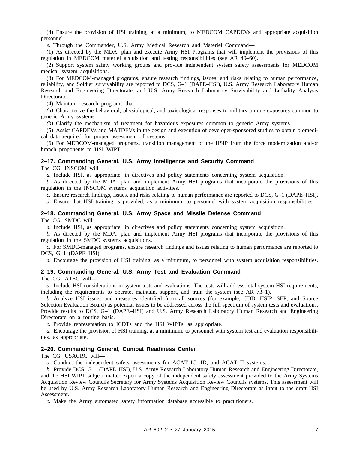(4) Ensure the provision of HSI training, at a minimum, to MEDCOM CAPDEVs and appropriate acquisition personnel.

*e.* Through the Commander, U.S. Army Medical Research and Materiel Command—

(1) As directed by the MDA, plan and execute Army HSI Programs that will implement the provisions of this regulation in MEDCOM materiel acquisition and testing responsibilities (see AR 40–60).

(2) Support system safety working groups and provide independent system safety assessments for MEDCOM medical system acquisitions.

(3) For MEDCOM-managed programs, ensure research findings, issues, and risks relating to human performance, reliability, and Soldier survivability are reported to DCS, G–1 (DAPE–HSI), U.S. Army Research Laboratory Human Research and Engineering Directorate, and U.S. Army Research Laboratory Survivability and Lethality Analysis Directorate.

(4) Maintain research programs that—

*(a)* Characterize the behavioral, physiological, and toxicological responses to military unique exposures common to generic Army systems.

*(b)* Clarify the mechanism of treatment for hazardous exposures common to generic Army systems.

(5) Assist CAPDEVs and MATDEVs in the design and execution of developer-sponsored studies to obtain biomedical data required for proper assessment of systems.

(6) For MEDCOM-managed programs, transition management of the HSIP from the force modernization and/or branch proponents to HSI WIPT.

#### **2–17. Commanding General, U.S. Army Intelligence and Security Command**

The CG, INSCOM will—

*a.* Include HSI, as appropriate, in directives and policy statements concerning system acquisition.

*b.* As directed by the MDA, plan and implement Army HSI programs that incorporate the provisions of this regulation in the INSCOM systems acquisition activities.

*c.* Ensure research findings, issues, and risks relating to human performance are reported to DCS, G–1 (DAPE–HSI).

*d.* Ensure that HSI training is provided, as a minimum, to personnel with system acquisition responsibilities.

### **2–18. Commanding General, U.S. Army Space and Missile Defense Command**

The CG, SMDC will—

*a.* Include HSI, as appropriate, in directives and policy statements concerning system acquisition.

*b.* As directed by the MDA, plan and implement Army HSI programs that incorporate the provisions of this regulation in the SMDC systems acquisitions.

*c.* For SMDC-managed programs, ensure research findings and issues relating to human performance are reported to DCS, G–1 (DAPE–HSI).

*d.* Encourage the provision of HSI training, as a minimum, to personnel with system acquisition responsibilities.

#### **2–19. Commanding General, U.S. Army Test and Evaluation Command**

The CG, ATEC will—

*a.* Include HSI considerations in system tests and evaluations. The tests will address total system HSI requirements, including the requirements to operate, maintain, support, and train the system (see AR 73–1).

*b.* Analyze HSI issues and measures identified from all sources (for example, CDD, HSIP, SEP, and Source Selection Evaluation Board) as potential issues to be addressed across the full spectrum of system tests and evaluations. Provide results to DCS, G–1 (DAPE–HSI) and U.S. Army Research Laboratory Human Research and Engineering Directorate on a routine basis.

*c.* Provide representation to ICDTs and the HSI WIPTs, as appropriate.

*d.* Encourage the provision of HSI training, at a minimum, to personnel with system test and evaluation responsibilities, as appropriate.

#### **2–20. Commanding General, Combat Readiness Center**

The CG, USACRC will—

*a.* Conduct the independent safety assessments for ACAT IC, ID, and ACAT II systems.

*b.* Provide DCS, G–1 (DAPE–HSI), U.S. Army Research Laboratory Human Research and Engineering Directorate, and the HSI WIPT subject matter expert a copy of the independent safety assessment provided to the Army Systems Acquisition Review Councils Secretary for Army Systems Acquisition Review Councils systems. This assessment will be used by U.S. Army Research Laboratory Human Research and Engineering Directorate as input to the draft HSI Assessment.

*c.* Make the Army automated safety information database accessible to practitioners.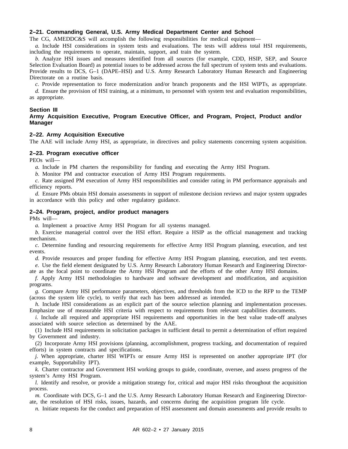# **2–21. Commanding General, U.S. Army Medical Department Center and School**

The CG, AMEDDC&S will accomplish the following responsibilities for medical equipment—

*a.* Include HSI considerations in system tests and evaluations. The tests will address total HSI requirements, including the requirements to operate, maintain, support, and train the system.

*b.* Analyze HSI issues and measures identified from all sources (for example, CDD, HSIP, SEP, and Source Selection Evaluation Board) as potential issues to be addressed across the full spectrum of system tests and evaluations. Provide results to DCS, G–1 (DAPE–HSI) and U.S. Army Research Laboratory Human Research and Engineering Directorate on a routine basis.

*c.* Provide representation to force modernization and/or branch proponents and the HSI WIPTs, as appropriate.

*d.* Ensure the provision of HSI training, at a minimum, to personnel with system test and evaluation responsibilities, as appropriate.

#### **Section III**

# **Army Acquisition Executive, Program Executive Officer, and Program, Project, Product and/or Manager**

#### **2–22. Army Acquisition Executive**

The AAE will include Army HSI, as appropriate, in directives and policy statements concerning system acquisition.

# **2–23. Program executive officer**

PEOs will—

*a.* Include in PM charters the responsibility for funding and executing the Army HSI Program.

*b.* Monitor PM and contractor execution of Army HSI Program requirements.

*c.* Rate assigned PM execution of Army HSI responsibilities and consider rating in PM performance appraisals and efficiency reports.

*d.* Ensure PMs obtain HSI domain assessments in support of milestone decision reviews and major system upgrades in accordance with this policy and other regulatory guidance.

# **2–24. Program, project, and/or product managers**

PMs will—

*a.* Implement a proactive Army HSI Program for all systems managed.

*b.* Exercise managerial control over the HSI effort. Require a HSIP as the official management and tracking mechanism.

*c.* Determine funding and resourcing requirements for effective Army HSI Program planning, execution, and test events.

*d.* Provide resources and proper funding for effective Army HSI Program planning, execution, and test events. *e.* Use the field element designated by U.S. Army Research Laboratory Human Research and Engineering Director-

ate as the focal point to coordinate the Army HSI Program and the efforts of the other Army HSI domains.

*f.* Apply Army HSI methodologies to hardware and software development and modification, and acquisition programs.

*g.* Compare Army HSI performance parameters, objectives, and thresholds from the ICD to the RFP to the TEMP (across the system life cycle), to verify that each has been addressed as intended.

*h.* Include HSI considerations as an explicit part of the source selection planning and implementation processes. Emphasize use of measurable HSI criteria with respect to requirements from relevant capabilities documents.

*i.* Include all required and appropriate HSI requirements and opportunities in the best value trade-off analyses associated with source selection as determined by the AAE.

(1) Include HSI requirements in solicitation packages in sufficient detail to permit a determination of effort required by Government and industry.

(2) Incorporate Army HSI provisions (planning, accomplishment, progress tracking, and documentation of required efforts) in system contracts and specifications.

*j.* When appropriate, charter HSI WIPTs or ensure Army HSI is represented on another appropriate IPT (for example, Supportability IPT).

*k.* Charter contractor and Government HSI working groups to guide, coordinate, oversee, and assess progress of the system's Army HSI Program.

*l.* Identify and resolve, or provide a mitigation strategy for, critical and major HSI risks throughout the acquisition process.

*m.* Coordinate with DCS, G–1 and the U.S. Army Research Laboratory Human Research and Engineering Directorate, the resolution of HSI risks, issues, hazards, and concerns during the acquisition program life cycle.

*n.* Initiate requests for the conduct and preparation of HSI assessment and domain assessments and provide results to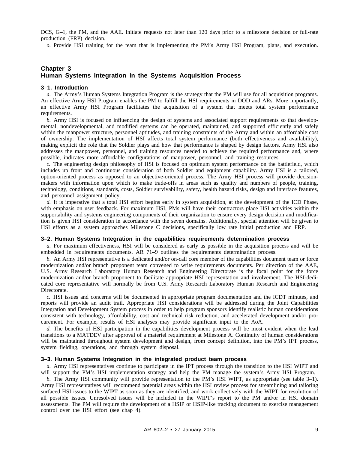DCS, G–1, the PM, and the AAE. Initiate requests not later than 120 days prior to a milestone decision or full-rate production (FRP) decision.

*o.* Provide HSI training for the team that is implementing the PM's Army HSI Program, plans, and execution.

# **Chapter 3 Human Systems Integration in the Systems Acquisition Process**

#### **3–1. Introduction**

*a.* The Army's Human Systems Integration Program is the strategy that the PM will use for all acquisition programs. An effective Army HSI Program enables the PM to fulfill the HSI requirements in DOD and ARs. More importantly, an effective Army HSI Program facilitates the acquisition of a system that meets total system performance requirements.

*b.* Army HSI is focused on influencing the design of systems and associated support requirements so that developmental, nondevelopmental, and modified systems can be operated, maintained, and supported efficiently and safely within the manpower structure, personnel aptitudes, and training constraints of the Army and within an affordable cost of ownership. The implementation of HSI affects total system performance (both effectiveness and availability), making explicit the role that the Soldier plays and how that performance is shaped by design factors. Army HSI also addresses the manpower, personnel, and training resources needed to achieve the required performance and, where possible, indicates more affordable configurations of manpower, personnel, and training resources.

*c.* The engineering design philosophy of HSI is focused on optimum system performance on the battlefield, which includes up front and continuous consideration of both Soldier and equipment capability. Army HSI is a tailored, option-oriented process as opposed to an objective-oriented process. The Army HSI process will provide decisionmakers with information upon which to make trade-offs in areas such as quality and numbers of people, training, technology, conditions, standards, costs, Soldier survivability, safety, health hazard risks, design and interface features, and personnel assignment policy.

*d.* It is imperative that a total HSI effort begins early in system acquisition, at the development of the ICD Phase, with emphasis on user feedback. For maximum HSI, PMs will have their contractors place HSI activities within the supportability and systems engineering components of their organization to ensure every design decision and modification is given HSI consideration in accordance with the seven domains. Additionally, special attention will be given to HSI efforts as a system approaches Milestone C decisions, specifically low rate initial production and FRP.

#### **3–2. Human Systems Integration in the capabilities requirements determination process**

*a.* For maximum effectiveness, HSI will be considered as early as possible in the acquisition process and will be embedded in requirements documents. AR 71–9 outlines the requirements determination process.

*b.* An Army HSI representative is a dedicated and/or on-call core member of the capabilities document team or force modernization and/or branch proponent team convened to write requirements documents. Per direction of the AAE, U.S. Army Research Laboratory Human Research and Engineering Directorate is the focal point for the force modernization and/or branch proponent to facilitate appropriate HSI representation and involvement. The HSI-dedicated core representative will normally be from U.S. Army Research Laboratory Human Research and Engineering Directorate.

*c.* HSI issues and concerns will be documented in appropriate program documentation and the ICDT minutes, and reports will provide an audit trail. Appropriate HSI considerations will be addressed during the Joint Capabilities Integration and Development System process in order to help program sponsors identify realistic human considerations consistent with technology, affordability, cost and technical risk reduction, and accelerated development and/or procurement. For example, results of HSI analyses may provide significant input to the AoA.

*d.* The benefits of HSI participation in the capabilities development process will be most evident when the lead transitions to a MATDEV after approval of a materiel requirement at Milestone A. Continuity of human considerations will be maintained throughout system development and design, from concept definition, into the PM's IPT process, system fielding, operations, and through system disposal.

#### **3–3. Human Systems Integration in the integrated product team process**

*a.* Army HSI representatives continue to participate in the IPT process through the transition to the HSI WIPT and will support the PM's HSI implementation strategy and help the PM manage the system's Army HSI Program.

*b.* The Army HSI community will provide representation to the PM's HSI WIPT, as appropriate (see table 3–1). Army HSI representatives will recommend potential areas within the HSI review process for streamlining and tailoring surfaced HSI issues to the WIPT as soon as they are identified, and work collectively with the WIPT for resolution of all possible issues. Unresolved issues will be included in the WIPT's report to the PM and/or in HSI domain assessments. The PM will require the development of a HSIP or HSIP-like tracking document to exercise management control over the HSI effort (see chap 4).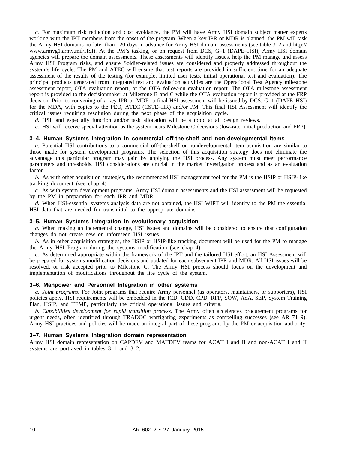*c.* For maximum risk reduction and cost avoidance, the PM will have Army HSI domain subject matter experts working with the IPT members from the onset of the program. When a key IPR or MDR is planned, the PM will task the Army HSI domains no later than 120 days in advance for Army HSI domain assessments (see table 3–2 and http:// www.armyg1.army.mil/HSI). At the PM's tasking, or on request from DCS, G–1 (DAPE–HSI), Army HSI domain agencies will prepare the domain assessments. These assessments will identify issues, help the PM manage and assess Army HSI Program risks, and ensure Soldier-related issues are considered and properly addressed throughout the system's life cycle. The PM and ATEC will ensure that test reports are provided in sufficient time for an adequate assessment of the results of the testing (for example, limited user tests, initial operational test and evaluation). The principal products generated from integrated test and evaluation activities are the Operational Test Agency milestone assessment report, OTA evaluation report, or the OTA follow-on evaluation report. The OTA milestone assessment report is provided to the decisionmaker at Milestone B and C while the OTA evaluation report is provided at the FRP decision. Prior to convening of a key IPR or MDR, a final HSI assessment will be issued by DCS, G–1 (DAPE–HSI) for the MDA, with copies to the PEO, ATEC (CSTE–HR) and/or PM. This final HSI Assessment will identify the critical issues requiring resolution during the next phase of the acquisition cycle.

*d.* HSI, and especially function and/or task allocation will be a topic at all design reviews.

*e.* HSI will receive special attention as the system nears Milestone C decisions (low-rate initial production and FRP).

#### **3–4. Human Systems Integration in commercial off-the-shelf and non-developmental items**

*a.* Potential HSI contributions to a commercial off-the-shelf or nondevelopmental item acquisition are similar to those made for system development programs. The selection of this acquisition strategy does not eliminate the advantage this particular program may gain by applying the HSI process. Any system must meet performance parameters and thresholds. HSI considerations are crucial in the market investigation process and as an evaluation factor.

*b.* As with other acquisition strategies, the recommended HSI management tool for the PM is the HSIP or HSIP-like tracking document (see chap 4).

*c.* As with system development programs, Army HSI domain assessments and the HSI assessment will be requested by the PM in preparation for each IPR and MDR.

*d.* When HSI-essential systems analysis data are not obtained, the HSI WIPT will identify to the PM the essential HSI data that are needed for transmittal to the appropriate domains.

# **3–5. Human Systems Integration in evolutionary acquisition**

*a.* When making an incremental change, HSI issues and domains will be considered to ensure that configuration changes do not create new or unforeseen HSI issues.

*b.* As in other acquisition strategies, the HSIP or HSIP-like tracking document will be used for the PM to manage the Army HSI Program during the systems modification (see chap 4).

*c.* As determined appropriate within the framework of the IPT and the tailored HSI effort, an HSI Assessment will be prepared for systems modification decisions and updated for each subsequent IPR and MDR. All HSI issues will be resolved, or risk accepted prior to Milestone C. The Army HSI process should focus on the development and implementation of modifications throughout the life cycle of the system.

# **3–6. Manpower and Personnel Integration in other systems**

*a. Joint programs*. For Joint programs that require Army personnel (as operators, maintainers, or supporters), HSI policies apply. HSI requirements will be embedded in the ICD, CDD, CPD, RFP, SOW, AoA, SEP, System Training Plan, HSIP, and TEMP, particularly the critical operational issues and criteria.

*b. Capabilities development for rapid transition process*. The Army often accelerates procurement programs for urgent needs, often identified through TRADOC warfighting experiments as compelling successes (see AR 71–9). Army HSI practices and policies will be made an integral part of these programs by the PM or acquisition authority.

#### **3–7. Human Systems Integration domain representation**

Army HSI domain representation on CAPDEV and MATDEV teams for ACAT I and II and non-ACAT I and II systems are portrayed in tables 3–1 and 3–2.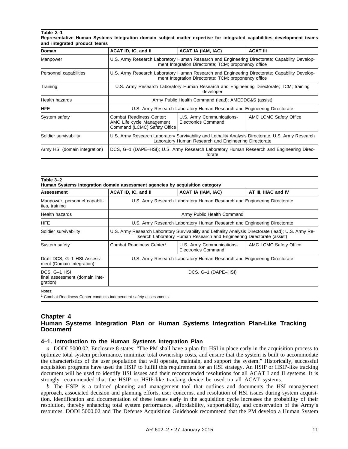# **Table 3–1**

| Representative Human Systems Integration domain subject matter expertise for integrated capabilities development teams |  |  |  |  |  |  |
|------------------------------------------------------------------------------------------------------------------------|--|--|--|--|--|--|
| and integrated product teams                                                                                           |  |  |  |  |  |  |

| Doman                         | ACAT ID, IC, and II                                                                                                                                         | <b>ACAT IA (IAM, IAC)</b>                               | <b>ACAT III</b>        |  |  |  |  |
|-------------------------------|-------------------------------------------------------------------------------------------------------------------------------------------------------------|---------------------------------------------------------|------------------------|--|--|--|--|
| Manpower                      | U.S. Army Research Laboratory Human Research and Engineering Directorate; Capability Develop-<br>ment Integration Directorate; TCM; proponency office       |                                                         |                        |  |  |  |  |
| Personnel capabilities        | U.S. Army Research Laboratory Human Research and Engineering Directorate: Capability Develop-<br>ment Integration Directorate; TCM; proponency office       |                                                         |                        |  |  |  |  |
| Training                      | U.S. Army Research Laboratory Human Research and Engineering Directorate; TCM; training<br>developer                                                        |                                                         |                        |  |  |  |  |
| Health hazards                | Army Public Health Command (lead); AMEDDC&S (assist)                                                                                                        |                                                         |                        |  |  |  |  |
| <b>HFE</b>                    | U.S. Army Research Laboratory Human Research and Engineering Directorate                                                                                    |                                                         |                        |  |  |  |  |
| System safety                 | Combat Readiness Center;<br>AMC Life cycle Management<br>Command (LCMC) Safety Office                                                                       | U.S. Army Communications-<br><b>Electronics Command</b> | AMC LCMC Safety Office |  |  |  |  |
| Soldier survivability         | U.S. Army Research Laboratory Survivability and Lethality Analysis Directorate, U.S. Army Research<br>Laboratory Human Research and Engineering Directorate |                                                         |                        |  |  |  |  |
| Army HSI (domain integration) | DCS, G-1 (DAPE-HSI); U.S. Army Research Laboratory Human Research and Engineering Direc-                                                                    |                                                         |                        |  |  |  |  |

| <b>Assessment</b>                                          | ACAT ID, IC, and II                                                                                                                                                           | ACAT IA (IAM, IAC)                                      | AT III, IIIAC and IV   |  |  |  |  |
|------------------------------------------------------------|-------------------------------------------------------------------------------------------------------------------------------------------------------------------------------|---------------------------------------------------------|------------------------|--|--|--|--|
| Manpower, personnel capabili-<br>ties, training            | U.S. Army Research Laboratory Human Research and Engineering Directorate                                                                                                      |                                                         |                        |  |  |  |  |
| Health hazards                                             | Army Public Health Command                                                                                                                                                    |                                                         |                        |  |  |  |  |
| <b>HFE</b>                                                 | U.S. Army Research Laboratory Human Research and Engineering Directorate                                                                                                      |                                                         |                        |  |  |  |  |
| Soldier survivability                                      | U.S. Army Research Laboratory Survivability and Lethality Analysis Directorate (lead); U.S. Army Re-<br>search Laboratory Human Research and Engineering Directorate (assist) |                                                         |                        |  |  |  |  |
| System safety                                              | Combat Readiness Center*                                                                                                                                                      | U.S. Army Communications-<br><b>Electronics Command</b> | AMC LCMC Safety Office |  |  |  |  |
| Draft DCS, G-1 HSI Assess-<br>ment (Domain Integration)    | U.S. Army Research Laboratory Human Research and Engineering Directorate                                                                                                      |                                                         |                        |  |  |  |  |
| DCS, G-1 HSI<br>final assessment (domain inte-<br>gration) | DCS, G-1 (DAPE-HSI)                                                                                                                                                           |                                                         |                        |  |  |  |  |

# **Chapter 4 Human Systems Integration Plan or Human Systems Integration Plan-Like Tracking Document**

# **4–1. Introduction to the Human Systems Integration Plan**

*a.* DODI 5000.02, Enclosure 8 states: "The PM shall have a plan for HSI in place early in the acquisition process to optimize total system performance, minimize total ownership costs, and ensure that the system is built to accommodate the characteristics of the user population that will operate, maintain, and support the system." Historically, successful acquisition programs have used the HSIP to fulfill this requirement for an HSI strategy. An HSIP or HSIP-like tracking document will be used to identify HSI issues and their recommended resolutions for all ACAT I and II systems. It is strongly recommended that the HSIP or HSIP-like tracking device be used on all ACAT systems.

*b.* The HSIP is a tailored planning and management tool that outlines and documents the HSI management approach, associated decision and planning efforts, user concerns, and resolution of HSI issues during system acquisition. Identification and documentation of these issues early in the acquisition cycle increases the probability of their resolution, thereby enhancing total system performance, affordability, supportability, and conservation of the Army's resources. DODI 5000.02 and The Defense Acquisition Guidebook recommend that the PM develop a Human System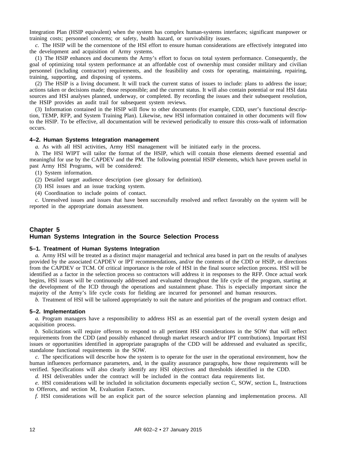Integration Plan (HSIP equivalent) when the system has complex human-systems interfaces; significant manpower or training costs; personnel concerns; or safety, health hazard, or survivability issues.

*c.* The HSIP will be the cornerstone of the HSI effort to ensure human considerations are effectively integrated into the development and acquisition of Army systems.

(1) The HSIP enhances and documents the Army's effort to focus on total system performance. Consequently, the goal of optimizing total system performance at an affordable cost of ownership must consider military and civilian personnel (including contractor) requirements, and the feasibility and costs for operating, maintaining, repairing, training, supporting, and disposing of systems.

(2) The HSIP is a living document. It will track the current status of issues to include: plans to address the issue; actions taken or decisions made; those responsible; and the current status. It will also contain potential or real HSI data sources and HSI analyses planned, underway, or completed. By recording the issues and their subsequent resolution, the HSIP provides an audit trail for subsequent system reviews.

(3) Information contained in the HSIP will flow to other documents (for example, CDD, user's functional description, TEMP, RFP, and System Training Plan). Likewise, new HSI information contained in other documents will flow to the HSIP. To be effective, all documentation will be reviewed periodically to ensure this cross-walk of information occurs.

# **4–2. Human Systems Integration management**

*a.* As with all HSI activities, Army HSI management will be initiated early in the process.

*b.* The HSI WIPT will tailor the format of the HSIP, which will contain those elements deemed essential and meaningful for use by the CAPDEV and the PM. The following potential HSIP elements, which have proven useful in past Army HSI Programs, will be considered:

(1) System information.

(2) Detailed target audience description (see glossary for definition).

(3) HSI issues and an issue tracking system.

(4) Coordination to include points of contact.

*c.* Unresolved issues and issues that have been successfully resolved and reflect favorably on the system will be reported in the appropriate domain assessment.

# **Chapter 5 Human Systems Integration in the Source Selection Process**

#### **5–1. Treatment of Human Systems Integration**

*a.* Army HSI will be treated as a distinct major managerial and technical area based in part on the results of analyses provided by the associated CAPDEV or IPT recommendations, and/or the contents of the CDD or HSIP, or directions from the CAPDEV or TCM. Of critical importance is the role of HSI in the final source selection process. HSI will be identified as a factor in the selection process so contractors will address it in responses to the RFP. Once actual work begins, HSI issues will be continuously addressed and evaluated throughout the life cycle of the program, starting at the development of the ICD through the operations and sustainment phase. This is especially important since the majority of the Army's life cycle costs for fielding are incurred for personnel and human resources.

*b.* Treatment of HSI will be tailored appropriately to suit the nature and priorities of the program and contract effort.

#### **5–2. Implementation**

*a.* Program managers have a responsibility to address HSI as an essential part of the overall system design and acquisition process.

*b.* Solicitations will require offerors to respond to all pertinent HSI considerations in the SOW that will reflect requirements from the CDD (and possibly enhanced through market research and/or IPT contributions). Important HSI issues or opportunities identified in appropriate paragraphs of the CDD will be addressed and evaluated as specific, standalone functional requirements in the SOW.

*c.* The specifications will describe how the system is to operate for the user in the operational environment, how the human influences performance parameters, and, in the quality assurance paragraphs, how those requirements will be verified. Specifications will also clearly identify any HSI objectives and thresholds identified in the CDD.

*d.* HSI deliverables under the contract will be included in the contract data requirements list.

*e.* HSI considerations will be included in solicitation documents especially section C, SOW, section L, Instructions to Offerors, and section M, Evaluation Factors.

*f.* HSI considerations will be an explicit part of the source selection planning and implementation process. All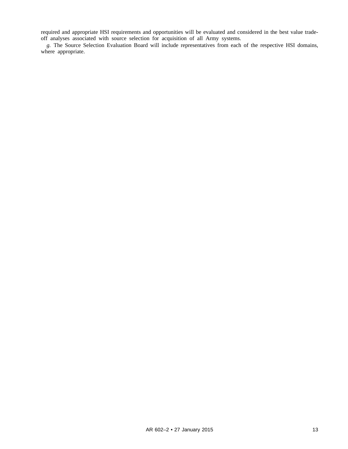required and appropriate HSI requirements and opportunities will be evaluated and considered in the best value tradeoff analyses associated with source selection for acquisition of all Army systems.

*g.* The Source Selection Evaluation Board will include representatives from each of the respective HSI domains, where appropriate.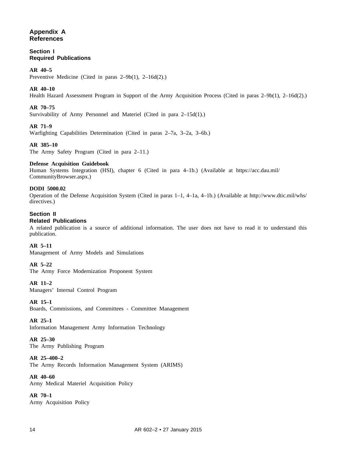# **Appendix A References**

**Section I Required Publications**

# **AR 40–5**

Preventive Medicine (Cited in paras 2–9b(1), 2–16d(2).)

# **AR 40–10**

Health Hazard Assessment Program in Support of the Army Acquisition Process (Cited in paras 2–9b(1), 2–16d(2).)

# **AR 70–75**

Survivability of Army Personnel and Materiel (Cited in para 2–15d(1).)

# **AR 71–9**

Warfighting Capabilities Determination (Cited in paras 2–7a, 3–2a, 3–6b.)

# **AR 385–10**

The Army Safety Program (Cited in para 2–11.)

# **Defense Acquisition Guidebook**

Human Systems Integration (HSI), chapter 6 (Cited in para 4–1b.) (Available at https://acc.dau.mil/ CommunityBrowser.aspx.)

# **DODI 5000.02**

Operation of the Defense Acquisition System (Cited in paras 1–1, 4–1a, 4–1b.) (Available at http://www.dtic.mil/whs/ directives.)

# **Section II**

# **Related Publications**

A related publication is a source of additional information. The user does not have to read it to understand this publication.

# **AR 5–11**

Management of Army Models and Simulations

# **AR 5–22**

The Army Force Modernization Proponent System

#### **AR 11–2**

Managers' Internal Control Program

# **AR 15–1**

Boards, Commissions, and Committees - Committee Management

#### **AR 25–1**

Information Management Army Information Technology

# **AR 25–30**

The Army Publishing Program

# **AR 25–400–2**

The Army Records Information Management System (ARIMS)

# **AR 40–60**

Army Medical Materiel Acquisition Policy

# **AR 70–1** Army Acquisition Policy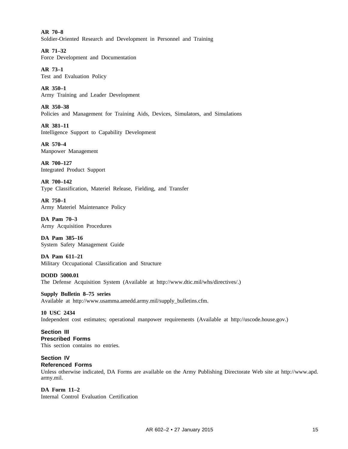**AR 70–8** Soldier-Oriented Research and Development in Personnel and Training

**AR 71–32** Force Development and Documentation

**AR 73–1** Test and Evaluation Policy

**AR 350–1** Army Training and Leader Development

**AR 350–38** Policies and Management for Training Aids, Devices, Simulators, and Simulations

**AR 381–11** Intelligence Support to Capability Development

**AR 570–4** Manpower Management

**AR 700–127** Integrated Product Support

**AR 700–142** Type Classification, Materiel Release, Fielding, and Transfer

**AR 750–1** Army Materiel Maintenance Policy

**DA Pam 70–3** Army Acquisition Procedures

**DA Pam 385–16** System Safety Management Guide

**DA Pam 611–21** Military Occupational Classification and Structure

**DODD 5000.01** The Defense Acquisition System (Available at http://www.dtic.mil/whs/directives/.)

**Supply Bulletin 8–75 series** Available at http://www.usamma.amedd.army.mil/supply\_bulletins.cfm.

**10 USC 2434** Independent cost estimates; operational manpower requirements (Available at http://uscode.house.gov.)

**Section III Prescribed Forms** This section contains no entries.

**Section IV Referenced Forms**

Unless otherwise indicated, DA Forms are available on the Army Publishing Directorate Web site at http://www.apd. army.mil.

**DA Form 11–2** Internal Control Evaluation Certification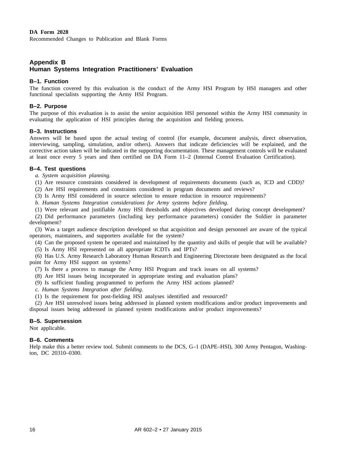#### **DA Form 2028**

Recommended Changes to Publication and Blank Forms

# **Appendix B Human Systems Integration Practitioners' Evaluation**

# **B–1. Function**

The function covered by this evaluation is the conduct of the Army HSI Program by HSI managers and other functional specialists supporting the Army HSI Program.

# **B–2. Purpose**

The purpose of this evaluation is to assist the senior acquisition HSI personnel within the Army HSI community in evaluating the application of HSI principles during the acquisition and fielding process.

#### **B–3. Instructions**

Answers will be based upon the actual testing of control (for example, document analysis, direct observation, interviewing, sampling, simulation, and/or others). Answers that indicate deficiencies will be explained, and the corrective action taken will be indicated in the supporting documentation. These management controls will be evaluated at least once every 5 years and then certified on DA Form 11–2 (Internal Control Evaluation Certification).

# **B–4. Test questions**

*a. System acquisition planning*.

(1) Are resource constraints considered in development of requirements documents (such as, ICD and CDD)?

(2) Are HSI requirements and constraints considered in program documents and reviews?

(3) Is Army HSI considered in source selection to ensure reduction in resource requirements?

*b. Human Systems Integration considerations for Army systems before fielding*.

(1) Were relevant and justifiable Army HSI thresholds and objectives developed during concept development?

(2) Did performance parameters (including key performance parameters) consider the Soldier in parameter development?

(3) Was a target audience description developed so that acquisition and design personnel are aware of the typical operators, maintainers, and supporters available for the system?

(4) Can the proposed system be operated and maintained by the quantity and skills of people that will be available? (5) Is Army HSI represented on all appropriate ICDTs and IPTs?

(6) Has U.S. Army Research Laboratory Human Research and Engineering Directorate been designated as the focal point for Army HSI support on systems?

- (7) Is there a process to manage the Army HSI Program and track issues on all systems?
- (8) Are HSI issues being incorporated in appropriate testing and evaluation plans?
- (9) Is sufficient funding programmed to perform the Army HSI actions planned?
- *c. Human Systems Integration after fielding*.
- (1) Is the requirement for post-fielding HSI analyses identified and resourced?

(2) Are HSI unresolved issues being addressed in planned system modifications and/or product improvements and disposal issues being addressed in planned system modifications and/or product improvements?

# **B–5. Supersession**

Not applicable.

# **B–6. Comments**

Help make this a better review tool. Submit comments to the DCS, G–1 (DAPE–HSI), 300 Army Pentagon, Washington, DC 20310–0300.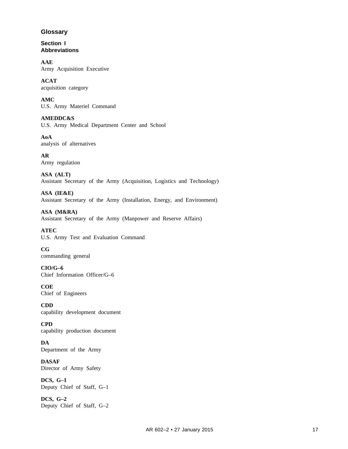# **Glossary**

**Section I Abbreviations**

**AAE** Army Acquisition Executive

**ACAT** acquisition category

**AMC** U.S. Army Materiel Command

**AMEDDC&S** U.S. Army Medical Department Center and School

**AoA** analysis of alternatives

**AR** Army regulation

**ASA (ALT)** Assistant Secretary of the Army (Acquisition, Logistics and Technology)

**ASA (IE&E)** Assistant Secretary of the Army (Installation, Energy, and Environment)

**ASA (M&RA)** Assistant Secretary of the Army (Manpower and Reserve Affairs)

**ATEC** U.S. Army Test and Evaluation Command

**CG** commanding general

**CIO/G–6** Chief Information Officer/G–6

**COE** Chief of Engineers

**CDD** capability development document

**CPD** capability production document

**DA** Department of the Army

**DASAF** Director of Army Safety

**DCS, G–1** Deputy Chief of Staff, G–1

**DCS, G–2** Deputy Chief of Staff, G–2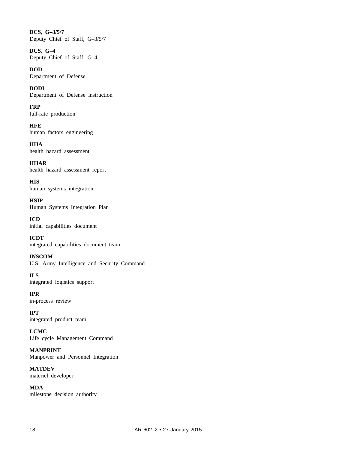**DCS, G–3/5/7** Deputy Chief of Staff, G–3/5/7

**DCS, G–4** Deputy Chief of Staff, G–4

**DOD** Department of Defense

**DODI** Department of Defense instruction

**FRP** full-rate production

**HFE** human factors engineering

**HHA** health hazard assessment

**HHAR** health hazard assessment report

**HIS** human systems integration

**HSIP** Human Systems Integration Plan

**ICD** initial capabilities document

**ICDT** integrated capabilities document team

**INSCOM** U.S. Army Intelligence and Security Command

**ILS** integrated logistics support

**IPR** in-process review

**IPT** integrated product team

**LCMC** Life cycle Management Command

**MANPRINT** Manpower and Personnel Integration

**MATDEV** materiel developer

**MDA** milestone decision authority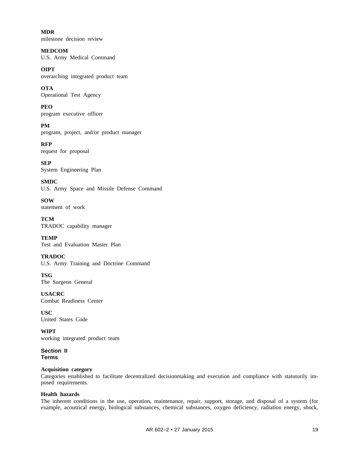**MDR** milestone decision review

**MEDCOM** U.S. Army Medical Command

**OIPT** overarching integrated product team

**OTA** Operational Test Agency

**PEO** program executive officer

**PM** program, project, and/or product manager

**RFP** request for proposal

**SEP** System Engineering Plan

**SMDC** U.S. Army Space and Missile Defense Command

**SOW** statement of work

**TCM** TRADOC capability manager

**TEMP** Test and Evaluation Master Plan

**TRADOC** U.S. Army Training and Doctrine Command

**TSG** The Surgeon General

**USACRC** Combat Readiness Center

**USC** United States Code

**WIPT** working integrated product team

**Section II Terms**

# **Acquisition category**

Categories established to facilitate decentralized decisionmaking and execution and compliance with statutorily imposed requirements.

# **Health hazards**

The inherent conditions in the use, operation, maintenance, repair, support, storage, and disposal of a system (for example, acoustical energy, biological substances, chemical substances, oxygen deficiency, radiation energy, shock,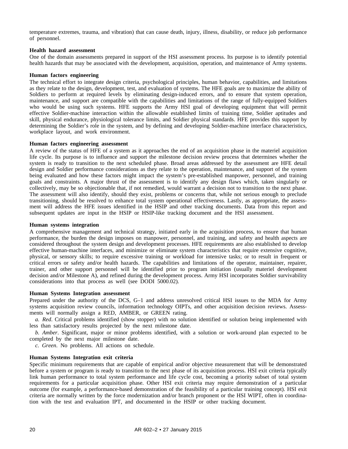temperature extremes, trauma, and vibration) that can cause death, injury, illness, disability, or reduce job performance of personnel.

#### **Health hazard assessment**

One of the domain assessments prepared in support of the HSI assessment process. Its purpose is to identify potential health hazards that may be associated with the development, acquisition, operation, and maintenance of Army systems.

#### **Human factors engineering**

The technical effort to integrate design criteria, psychological principles, human behavior, capabilities, and limitations as they relate to the design, development, test, and evaluation of systems. The HFE goals are to maximize the ability of Soldiers to perform at required levels by eliminating design-induced errors, and to ensure that system operation, maintenance, and support are compatible with the capabilities and limitations of the range of fully-equipped Soldiers who would be using such systems. HFE supports the Army HSI goal of developing equipment that will permit effective Soldier-machine interaction within the allowable established limits of training time, Soldier aptitudes and skill, physical endurance, physiological tolerance limits, and Soldier physical standards. HFE provides this support by determining the Soldier's role in the system, and by defining and developing Soldier-machine interface characteristics, workplace layout, and work environment.

#### **Human factors engineering assessment**

A review of the status of HFE of a system as it approaches the end of an acquisition phase in the materiel acquisition life cycle. Its purpose is to influence and support the milestone decision review process that determines whether the system is ready to transition to the next scheduled phase. Broad areas addressed by the assessment are HFE detail design and Soldier performance considerations as they relate to the operation, maintenance, and support of the system being evaluated and how these factors might impact the system's pre-established manpower, personnel, and training goals and constraints. A major thrust of the assessment is to identify any design flaws which, taken singularly or collectively, may be so objectionable that, if not remedied, would warrant a decision not to transition to the next phase. The assessment will also identify, should they exist, problems or concerns that, while not serious enough to preclude transitioning, should be resolved to enhance total system operational effectiveness. Lastly, as appropriate, the assessment will address the HFE issues identified in the HSIP and other tracking documents. Data from this report and subsequent updates are input in the HSIP or HSIP-like tracking document and the HSI assessment.

#### **Human systems integration**

A comprehensive management and technical strategy, initiated early in the acquisition process, to ensure that human performance, the burden the design imposes on manpower, personnel, and training, and safety and health aspects are considered throughout the system design and development processes. HFE requirements are also established to develop effective human-machine interfaces, and minimize or eliminate system characteristics that require extensive cognitive, physical, or sensory skills; to require excessive training or workload for intensive tasks; or to result in frequent or critical errors or safety and/or health hazards. The capabilities and limitations of the operator, maintainer, repairer, trainer, and other support personnel will be identified prior to program initiation (usually materiel development decision and/or Milestone A), and refined during the development process. Army HSI incorporates Soldier survivability considerations into that process as well (see DODI 5000.02).

#### **Human Systems Integration assessment**

Prepared under the authority of the DCS, G–1 and address unresolved critical HSI issues to the MDA for Army systems acquisition review councils, information technology OIPTs, and other acquisition decision reviews. Assessments will normally assign a RED, AMBER, or GREEN rating.

*a. Red*. Critical problems identified (show stopper) with no solution identified or solution being implemented with less than satisfactory results projected by the next milestone date.

*b. Amber*. Significant, major or minor problems identified, with a solution or work-around plan expected to be completed by the next major milestone date.

*c. Green*. No problems. All actions on schedule.

#### **Human Systems Integration exit criteria**

Specific minimum requirements that are capable of empirical and/or objective measurement that will be demonstrated before a system or program is ready to transition to the next phase of its acquisition process. HSI exit criteria typically link human performance to total system performance and life cycle cost, becoming a priority subset of total system requirements for a particular acquisition phase. Other HSI exit criteria may require demonstration of a particular outcome (for example, a performance-based demonstration of the feasibility of a particular training concept). HSI exit criteria are normally written by the force modernization and/or branch proponent or the HSI WIPT, often in coordination with the test and evaluation IPT, and documented in the HSIP or other tracking document.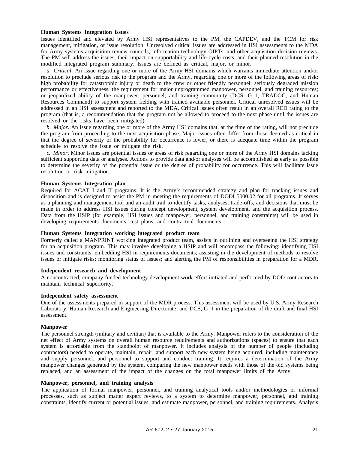#### **Human Systems Integration issues**

Issues identified and elevated by Army HSI representatives to the PM, the CAPDEV, and the TCM for risk management, mitigation, or issue resolution. Unresolved critical issues are addressed in HSI assessments to the MDA for Army systems acquisition review councils, information technology OIPTs, and other acquisition decision reviews. The PM will address the issues, their impact on supportability and life cycle costs, and their planned resolution in the modified integrated program summary. Issues are defined as critical, major, or minor.

*a. Critical*. An issue regarding one or more of the Army HSI domains which warrants immediate attention and/or resolution to preclude serious risk to the program and the Army, regarding one or more of the following areas of risk: high probability for catastrophic injury or death to the crew or other friendly personnel; seriously degraded mission performance or effectiveness; the requirement for major unprogrammed manpower, personnel, and training resources; or jeopardized ability of the manpower, personnel, and training community (DCS, G–1, TRADOC, and Human Resources Command) to support system fielding with trained available personnel. Critical unresolved issues will be addressed in an HSI assessment and reported to the MDA. Critical issues often result in an overall RED rating to the program (that is, a recommendation that the program not be allowed to proceed to the next phase until the issues are resolved or the risks have been mitigated).

*b. Major*. An issue regarding one or more of the Army HSI domains that, at the time of the rating, will not preclude the program from proceeding to the next acquisition phase. Major issues often differ from those deemed as critical in that the degree of severity or the probability for occurrence is lower, or there is adequate time within the program schedule to resolve the issue or mitigate the risk.

*c. Minor*. Minor issues are potential issues or areas of risk regarding one or more of the Army HSI domains lacking sufficient supporting data or analyses. Actions to provide data and/or analyses will be accomplished as early as possible to determine the severity of the potential issue or the degree of probability for occurrence. This will facilitate issue resolution or risk mitigation.

#### **Human Systems Integration plan**

Required for ACAT I and II programs. It is the Army's recommended strategy and plan for tracking issues and disposition and is designed to assist the PM in meeting the requirements of DODI 5000.02 for all programs. It serves as a planning and management tool and an audit trail to identify tasks, analyses, trade-offs, and decisions that must be made in order to address HSI issues during concept development, system development, and the acquisition process. Data from the HSIP (for example, HSI issues and manpower, personnel, and training constraints) will be used in developing requirements documents, test plans, and contractual documents.

#### **Human Systems Integration working integrated product team**

Formerly called a MANPRINT working integrated product team, assists in outlining and overseeing the HSI strategy for an acquisition program. This may involve developing a HSIP and will encompass the following: identifying HSI issues and constraints; embedding HSI in requirements documents; assisting in the development of methods to resolve issues or mitigate risks; monitoring status of issues; and alerting the PM of responsibilities in preparation for a MDR.

#### **Independent research and development**

A noncontracted, company-funded technology development work effort initiated and performed by DOD contractors to maintain technical superiority.

#### **Independent safety assessment**

One of the assessments prepared in support of the MDR process. This assessment will be used by U.S. Army Research Laboratory, Human Research and Engineering Directorate, and DCS, G–1 in the preparation of the draft and final HSI assessment.

#### **Manpower**

The personnel strength (military and civilian) that is available to the Army. Manpower refers to the consideration of the net effect of Army systems on overall human resource requirements and authorizations (spaces) to ensure that each system is affordable from the standpoint of manpower. It includes analysis of the number of people (including contractors) needed to operate, maintain, repair, and support each new system being acquired, including maintenance and supply personnel, and personnel to support and conduct training. It requires a determination of the Army manpower changes generated by the system, comparing the new manpower needs with those of the old systems being replaced, and an assessment of the impact of the changes on the total manpower limits of the Army.

#### **Manpower, personnel, and training analysis**

The application of formal manpower, personnel, and training analytical tools and/or methodologies or informal processes, such as subject matter expert reviews, to a system to determine manpower, personnel, and training constraints, identify current or potential issues, and estimate manpower, personnel, and training requirements. Analysis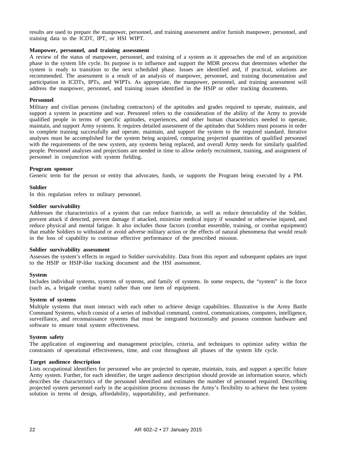results are used to prepare the manpower, personnel, and training assessment and/or furnish manpower, personnel, and training data to the ICDT, IPT, or HSI WIPT.

#### **Manpower, personnel, and training assessment**

A review of the status of manpower, personnel, and training of a system as it approaches the end of an acquisition phase in the system life cycle. Its purpose is to influence and support the MDR process that determines whether the system is ready to transition to the next scheduled phase. Issues are identified and, if practical, solutions are recommended. The assessment is a result of an analysis of manpower, personnel, and training documentation and participation in ICDTs, IPTs, and WIPTs. As appropriate, the manpower, personnel, and training assessment will address the manpower, personnel, and training issues identified in the HSIP or other tracking documents.

#### **Personnel**

Military and civilian persons (including contractors) of the aptitudes and grades required to operate, maintain, and support a system in peacetime and war. Personnel refers to the consideration of the ability of the Army to provide qualified people in terms of specific aptitudes, experiences, and other human characteristics needed to operate, maintain, and support Army systems. It requires detailed assessment of the aptitudes that Soldiers must possess in order to complete training successfully and operate, maintain, and support the system to the required standard. Iterative analyses must be accomplished for the system being acquired, comparing projected quantities of qualified personnel with the requirements of the new system, any systems being replaced, and overall Army needs for similarly qualified people. Personnel analyses and projections are needed in time to allow orderly recruitment, training, and assignment of personnel in conjunction with system fielding.

#### **Program sponsor**

Generic term for the person or entity that advocates, funds, or supports the Program being executed by a PM.

#### **Soldier**

In this regulation refers to military personnel.

#### **Soldier survivability**

Addresses the characteristics of a system that can reduce fratricide, as well as reduce detectability of the Soldier, prevent attack if detected, prevent damage if attacked, minimize medical injury if wounded or otherwise injured, and reduce physical and mental fatigue. It also includes those factors (combat ensemble, training, or combat equipment) that enable Soldiers to withstand or avoid adverse military action or the effects of natural phenomena that would result in the loss of capability to continue effective performance of the prescribed mission.

#### **Soldier survivability assessment**

Assesses the system's effects in regard to Soldier survivability. Data from this report and subsequent updates are input to the HSIP or HSIP-like tracking document and the HSI assessment.

#### **System**

Includes individual systems, systems of systems, and family of systems. In some respects, the "system" is the force (such as, a brigade combat team) rather than one item of equipment.

#### **System of systems**

Multiple systems that must interact with each other to achieve design capabilities. Illustrative is the Army Battle Command Systems, which consist of a series of individual command, control, communications, computers, intelligence, surveillance, and reconnaissance systems that must be integrated horizontally and possess common hardware and software to ensure total system effectiveness.

#### **System safety**

The application of engineering and management principles, criteria, and techniques to optimize safety within the constraints of operational effectiveness, time, and cost throughout all phases of the system life cycle.

#### **Target audience description**

Lists occupational identifiers for personnel who are projected to operate, maintain, train, and support a specific future Army system. Further, for each identifier, the target audience description should provide an information source, which describes the characteristics of the personnel identified and estimates the number of personnel required. Describing projected system personnel early in the acquisition process increases the Army's flexibility to achieve the best system solution in terms of design, affordability, supportability, and performance.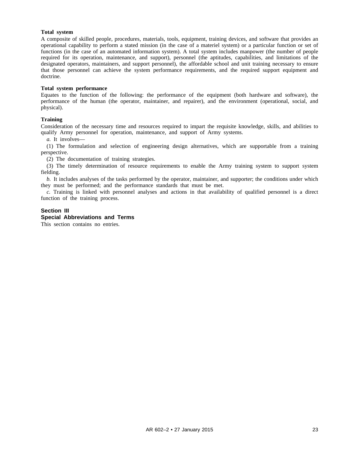#### **Total system**

A composite of skilled people, procedures, materials, tools, equipment, training devices, and software that provides an operational capability to perform a stated mission (in the case of a materiel system) or a particular function or set of functions (in the case of an automated information system). A total system includes manpower (the number of people required for its operation, maintenance, and support), personnel (the aptitudes, capabilities, and limitations of the designated operators, maintainers, and support personnel), the affordable school and unit training necessary to ensure that those personnel can achieve the system performance requirements, and the required support equipment and doctrine.

#### **Total system performance**

Equates to the function of the following: the performance of the equipment (both hardware and software), the performance of the human (the operator, maintainer, and repairer), and the environment (operational, social, and physical).

#### **Training**

Consideration of the necessary time and resources required to impart the requisite knowledge, skills, and abilities to qualify Army personnel for operation, maintenance, and support of Army systems.

*a.* It involves—

(1) The formulation and selection of engineering design alternatives, which are supportable from a training perspective.

(2) The documentation of training strategies.

(3) The timely determination of resource requirements to enable the Army training system to support system fielding.

*b.* It includes analyses of the tasks performed by the operator, maintainer, and supporter; the conditions under which they must be performed; and the performance standards that must be met.

*c.* Training is linked with personnel analyses and actions in that availability of qualified personnel is a direct function of the training process.

# **Section III**

# **Special Abbreviations and Terms**

This section contains no entries.